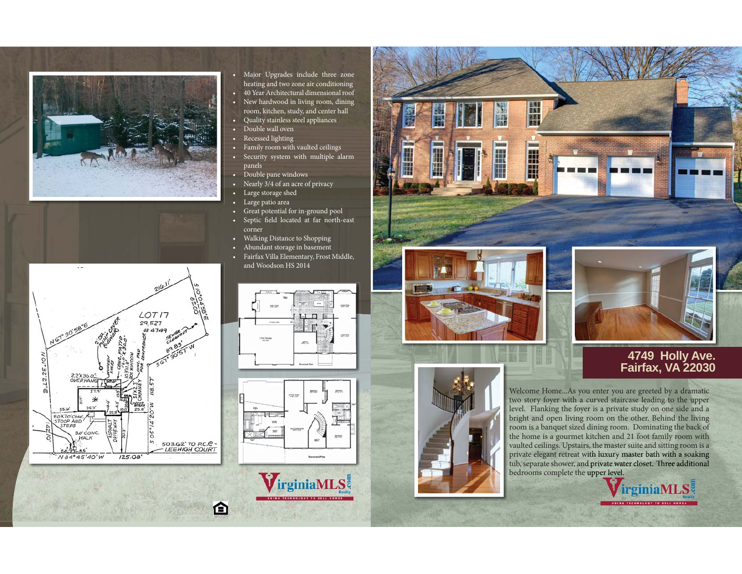

- Major Upgrades include three zone heating and two zone air conditioning • 40 Year Architectural dimensional roof
- New hardwood in living room, dining room, kitchen, study, and center hall
- Quality stainless steel appliances
- Double wall oven
- Recessed lighting
- Family room with vaulted ceilings
- Security system with multiple alarm panels
- Double pane windows
- Nearly 3/4 of an acre of privacy
- Large storage shed
- Large patio area
- Great potential for in-ground pool
- Septic field located at far north-east corner
- Walking Distance to Shopping
- Abundant storage in basement
- Fairfax Villa Elementary, Frost Middle, and Woodson HS 2014





VirginiaMLS

企



**The Sea** 

i<br>Allia



## **4749 Holly Ave. Fairfax, VA 22030**

Welcome Home...As you enter you are greeted by a dramatic two story foyer with a curved staircase leading to the upper level. Flanking the foyer is a private study on one side and a bright and open living room on the other. Behind the living room is a banquet sized dining room. Dominating the back of the home is a gourmet kitchen and 21 foot family room with vaulted ceilings. Upstairs, the master suite and sitting room is a private elegant retreat with luxury master bath with a soaking tub, separate shower, and private water closet. Three additional bedrooms complete the upper level.